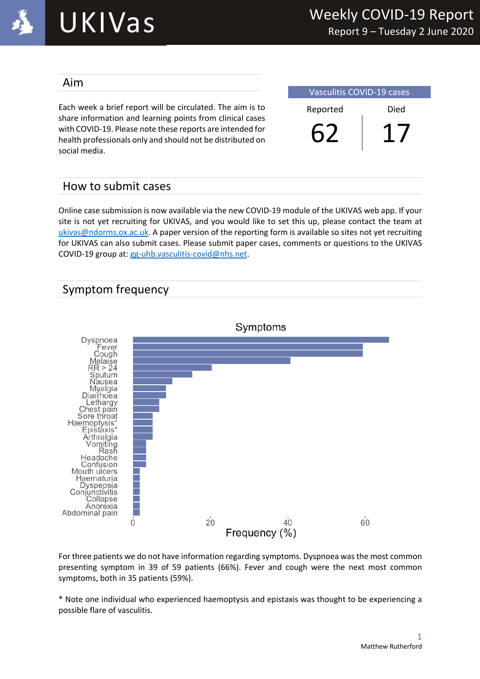

# UKIVas

#### Aim

Each week a brief report will be circulated. The aim is to share information and learning points from clinical cases with COVID-19. Please note these reports are intended for health professionals only and should not be distributed on social media.

| <b>Vasculitis COVID-19 cases</b> |      |  |  |
|----------------------------------|------|--|--|
| Reported                         | Died |  |  |
|                                  |      |  |  |

#### How to submit cases

Online case submission is now available via the new COVID-19 module of the UKIVAS web app. If your site is not yet recruiting for UKIVAS, and you would like to set this up, please contact the team at ukivas@ndorms.ox.ac.uk. A paper version of the reporting form is available so sites not yet recruiting for UKIVAS can also submit cases. Please submit paper cases, comments or questions to the UKIVAS COVID-19 group at: gg-uhb.vasculitis-covid@nhs.net.

#### Symptom frequency



For three patients we do not have information regarding symptoms. Dyspnoea was the most common presenting symptom in 39 of 59 patients (66%). Fever and cough were the next most common symptoms, both in 35 patients (59%).

\* Note one individual who experienced haemoptysis and epistaxis was thought to be experiencing a possible flare of vasculitis.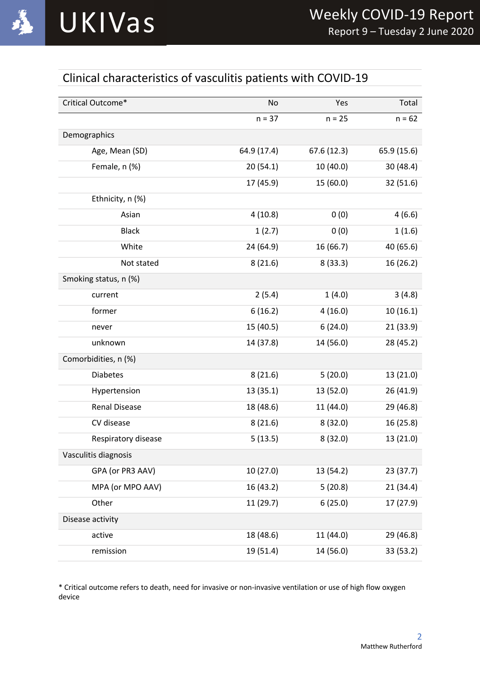### Clinical characteristics of vasculitis patients with COVID-19

| Critical Outcome*     | No          | Yes        | Total       |
|-----------------------|-------------|------------|-------------|
|                       | $n = 37$    | $n = 25$   | $n = 62$    |
| Demographics          |             |            |             |
| Age, Mean (SD)        | 64.9 (17.4) | 67.6(12.3) | 65.9 (15.6) |
| Female, n (%)         | 20(54.1)    | 10 (40.0)  | 30 (48.4)   |
|                       | 17 (45.9)   | 15 (60.0)  | 32 (51.6)   |
| Ethnicity, n (%)      |             |            |             |
| Asian                 | 4(10.8)     | 0(0)       | 4(6.6)      |
| <b>Black</b>          | 1(2.7)      | 0(0)       | 1(1.6)      |
| White                 | 24 (64.9)   | 16 (66.7)  | 40 (65.6)   |
| Not stated            | 8(21.6)     | 8(33.3)    | 16 (26.2)   |
| Smoking status, n (%) |             |            |             |
| current               | 2(5.4)      | 1(4.0)     | 3(4.8)      |
| former                | 6(16.2)     | 4(16.0)    | 10(16.1)    |
| never                 | 15 (40.5)   | 6(24.0)    | 21(33.9)    |
| unknown               | 14 (37.8)   | 14 (56.0)  | 28 (45.2)   |
| Comorbidities, n (%)  |             |            |             |
| <b>Diabetes</b>       | 8(21.6)     | 5(20.0)    | 13 (21.0)   |
| Hypertension          | 13(35.1)    | 13 (52.0)  | 26 (41.9)   |
| <b>Renal Disease</b>  | 18 (48.6)   | 11 (44.0)  | 29 (46.8)   |
| CV disease            | 8(21.6)     | 8(32.0)    | 16(25.8)    |
| Respiratory disease   | 5(13.5)     | 8(32.0)    | 13 (21.0)   |
| Vasculitis diagnosis  |             |            |             |
| GPA (or PR3 AAV)      | 10 (27.0)   | 13 (54.2)  | 23 (37.7)   |
| MPA (or MPO AAV)      | 16 (43.2)   | 5(20.8)    | 21 (34.4)   |
| Other                 | 11 (29.7)   | 6(25.0)    | 17 (27.9)   |
| Disease activity      |             |            |             |
| active                | 18 (48.6)   | 11 (44.0)  | 29 (46.8)   |
| remission             | 19 (51.4)   | 14 (56.0)  | 33 (53.2)   |

\* Critical outcome refers to death, need for invasive or non-invasive ventilation or use of high flow oxygen device